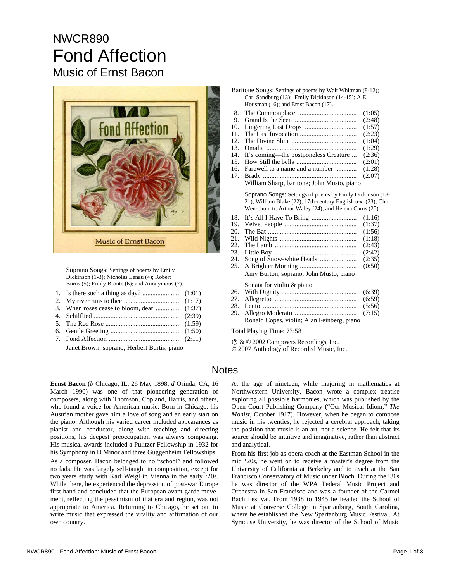# NWCR890 Fond Affection Music of Ernst Bacon



 Soprano Songs: Settings of poems by Emily Dickinson (1-3); Nicholas Lenau (4); Robert Burns (5); Emily Brontë (6); and Anonymous (7).

|--|--|--|--|--|--|--|

- 2. My river runs to thee ................................. (1:17)
- 3. When roses cease to bloom, dear .............. (1:37)
- 4. Schilflied ................................................... (2:39)
- 5. The Red Rose ............................................ (1:59)
- 6. Gentle Greeting ......................................... (1:50) 7. Fond Affection .......................................... (2:11)

| Baritone Songs: Settings of poems by Walt Whitman (8-12); |
|-----------------------------------------------------------|
| Carl Sandburg (13); Emily Dickinson (14-15); A.E.         |
| Housman (16); and Ernst Bacon (17).                       |

- 8. The Commonplace ................................... (1:05)
- 9. Grand Is the Seen ..................................... (2:48)
- 10. Lingering Last Drops ............................... (1:57)
- 11. The Last Invocation .................................. (2:23)
- 12. The Divine Ship ....................................... (1:04) 13. Omaha ...................................................... (1:29)
- 14. It's coming—the postponeless Creature ... (2:36)
- 15. How Still the bells .................................... (2:01)
- 16. Farewell to a name and a number ............. (1:28)
- 17. Brady ........................................................ (2:07)
- William Sharp, baritone; John Musto, piano

 Soprano Songs: Settings of poems by Emily Dickinson (18- 21); William Blake (22); 17th-century English text (23); Cho Wen-chun, tr. Arthur Waley (24); and Helena Carus (25)

- 18. It's All I Have To Bring ........................... (1:16)
- 19. Velvet People ........................................... (1:37)
- 20. The Bat ..................................................... (1:56)
- 21. Wild Nights .............................................. (1:18)
- 22. The Lamb ................................................. (2:43)
- 23. Little Boy ................................................. (2:42)
- 24. Song of Snow-white Heads ...................... (2:35) 25. A Brighter Morning .................................. (0:50)
- Amy Burton, soprano; John Musto, piano

Sonata for violin & piano

- 26. With Dignity ............................................. (6:39) 27. Allegretto ................................................. (6:59)
- 28. Lento ........................................................ (5:56)
- 29. Allegro Moderato ..................................... (7:15)
- Ronald Copes, violin; Alan Feinberg, piano

Total Playing Time: 73:58

Ê & © 2002 Composers Recordings, Inc.

## Notes

**Ernst Bacon** (*b* Chicago, IL, 26 May 1898; *d* Orinda, CA, 16 March 1990) was one of that pioneering generation of composers, along with Thomson, Copland, Harris, and others, who found a voice for American music. Born in Chicago, his Austrian mother gave him a love of song and an early start on the piano. Although his varied career included appearances as pianist and conductor, along with teaching and directing positions, his deepest preoccupation was always composing. His musical awards included a Pulitzer Fellowship in 1932 for his Symphony in D Minor and three Guggenheim Fellowships.

As a composer, Bacon belonged to no "school" and followed no fads. He was largely self-taught in composition, except for two years study with Karl Weigl in Vienna in the early '20s. While there, he experienced the depression of post-war Europe first hand and concluded that the European avant-garde movement, reflecting the pessimism of that era and region, was not appropriate to America. Returning to Chicago, he set out to write music that expressed the vitality and affirmation of our own country.

At the age of nineteen, while majoring in mathematics at Northwestern University, Bacon wrote a complex treatise exploring all possible harmonies, which was published by the Open Court Publishing Company ("Our Musical Idiom," *The Monist*, October 1917). However, when he began to compose music in his twenties, he rejected a cerebral approach, taking the position that music is an art, not a science. He felt that its source should be intuitive and imaginative, rather than abstract and analytical.

From his first job as opera coach at the Eastman School in the mid '20s, he went on to receive a master's degree from the University of California at Berkeley and to teach at the San Francisco Conservatory of Music under Bloch. During the '30s he was director of the WPA Federal Music Project and Orchestra in San Francisco and was a founder of the Carmel Bach Festival. From 1938 to 1945 he headed the School of Music at Converse College in Spartanburg, South Carolina, where he established the New Spartanburg Music Festival. At Syracuse University, he was director of the School of Music

Janet Brown, soprano; Herbert Burtis, piano

<sup>© 2007</sup> Anthology of Recorded Music, Inc.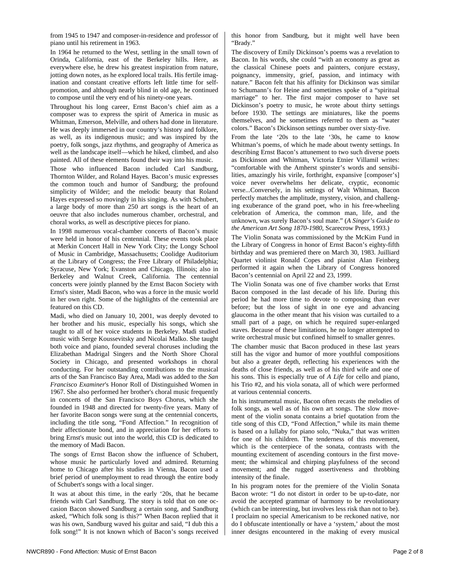piano until his retirement in 1963.

everywhere else, he drew his greatest inspiration from nature, jotting down notes, as he explored local trails. His fertile imagination and constant creative efforts left little time for selfpromotion, and although nearly blind in old age, he continued to compose until the very end of his ninety-one years.

from 1945 to 1947 and composer-in-residence and professor of

In 1964 he returned to the West, settling in the small town of

Throughout his long career, Ernst Bacon's chief aim as a composer was to express the spirit of America in music as Whitman, Emerson, Melville, and others had done in literature. He was deeply immersed in our country's history and folklore, as well, as its indigenous music; and was inspired by the poetry, folk songs, jazz rhythms, and geography of America as well as the landscape itself—which he hiked, climbed, and also painted. All of these elements found their way into his music.

Those who influenced Bacon included Carl Sandburg, Thornton Wilder, and Roland Hayes. Bacon's music expresses the common touch and humor of Sandburg; the profound simplicity of Wilder; and the melodic beauty that Roland Hayes expressed so movingly in his singing. As with Schubert, a large body of more than 250 art songs is the heart of an oeuvre that also includes numerous chamber, orchestral, and choral works, as well as descriptive pieces for piano.

In 1998 numerous vocal-chamber concerts of Bacon's music were held in honor of his centennial. These events took place at Merkin Concert Hall in New York City; the Longy School of Music in Cambridge, Massachusetts; Coolidge Auditorium at the Library of Congress; the Free Library of Philadelphia; Syracuse, New York; Evanston and Chicago, Illinois; also in Berkeley and Walnut Creek, California. The centennial concerts were jointly planned by the Ernst Bacon Society with Ernst's sister, Madi Bacon, who was a force in the music world in her own right. Some of the highlights of the centennial are featured on this CD.

Madi, who died on January 10, 2001, was deeply devoted to her brother and his music, especially his songs, which she taught to all of her voice students in Berkeley. Madi studied music with Serge Koussevitsky and Nicolai Malko. She taught both voice and piano, founded several choruses including the Elizabethan Madrigal Singers and the North Shore Choral Society in Chicago, and presented workshops in choral conducting. For her outstanding contributions to the musical arts of the San Francisco Bay Area, Madi was added to the *San Francisco Examiner*'s Honor Roll of Distinguished Women in 1967. She also performed her brother's choral music frequently in concerts of the San Francisco Boys Chorus, which she founded in 1948 and directed for twenty-five years. Many of her favorite Bacon songs were sung at the centennial concerts, including the title song, "Fond Affection." In recognition of their affectionate bond, and in appreciation for her efforts to bring Ernst's music out into the world, this CD is dedicated to the memory of Madi Bacon.

The songs of Ernst Bacon show the influence of Schubert, whose music he particularly loved and admired. Returning home to Chicago after his studies in Vienna, Bacon used a brief period of unemployment to read through the entire body of Schubert's songs with a local singer.

It was at about this time, in the early '20s, that he became friends with Carl Sandburg. The story is told that on one occasion Bacon showed Sandburg a certain song, and Sandburg asked, "Which folk song is this?" When Bacon replied that it was his own, Sandburg waved his guitar and said, "I dub this a folk song!" It is not known which of Bacon's songs received this honor from Sandburg, but it might well have been "Brady."

The discovery of Emily Dickinson's poems was a revelation to Bacon. In his words, she could "with an economy as great as the classical Chinese poets and painters, conjure ecstasy, poignancy, immensity, grief, passion, and intimacy with nature." Bacon felt that his affinity for Dickinson was similar to Schumann's for Heine and sometimes spoke of a "spiritual marriage" to her. The first major composer to have set Dickinson's poetry to music, he wrote about thirty settings before 1930. The settings are miniatures, like the poems themselves, and he sometimes referred to them as "water colors." Bacon's Dickinson settings number over sixty-five.

From the late '20s to the late '30s, he came to know Whitman's poems, of which he made about twenty settings. In describing Ernst Bacon's attunement to two such diverse poets as Dickinson and Whitman, Victoria Etnier Villamil writes: "comfortable with the Amherst spinster's words and sensibilities, amazingly his virile, forthright, expansive [composer's] voice never overwhelms her delicate, cryptic, economic verse...Conversely, in his settings of Walt Whitman, Bacon perfectly matches the amplitude, mystery, vision, and challenging exuberance of the grand poet, who in his free-wheeling celebration of America, the common man, life, and the unknown, was surely Bacon's soul mate." (*A Singer's Guide to the American Art Song 1870-1980*, Scarecrow Press, 1993.)

The Violin Sonata was commissioned by the McKim Fund in the Library of Congress in honor of Ernst Bacon's eighty-fifth birthday and was premiered there on March 30, 1983. Juilliard Quartet violinist Ronald Copes and pianist Alan Feinberg performed it again when the Library of Congress honored Bacon's centennial on April 22 and 23, 1999.

The Violin Sonata was one of five chamber works that Ernst Bacon composed in the last decade of his life. During this period he had more time to devote to composing than ever before; but the loss of sight in one eye and advancing glaucoma in the other meant that his vision was curtailed to a small part of a page, on which he required super-enlarged staves. Because of these limitations, he no longer attempted to write orchestral music but confined himself to smaller genres.

The chamber music that Bacon produced in these last years still has the vigor and humor of more youthful compositions but also a greater depth, reflecting his experiences with the deaths of close friends, as well as of his third wife and one of his sons. This is especially true of *A Life* for cello and piano, his Trio #2, and his viola sonata, all of which were performed at various centennial concerts.

In his instrumental music, Bacon often recasts the melodies of folk songs, as well as of his own art songs. The slow movement of the violin sonata contains a brief quotation from the title song of this CD, "Fond Affection," while its main theme is based on a lullaby for piano solo, "Nuka," that was written for one of his children. The tenderness of this movement, which is the centerpiece of the sonata, contrasts with the mounting excitement of ascending contours in the first movement; the whimsical and chirping playfulness of the second movement; and the rugged assertiveness and throbbing intensity of the finale.

In his program notes for the premiere of the Violin Sonata Bacon wrote: "I do not distort in order to be up-to-date, nor avoid the accepted grammar of harmony to be revolutionary (which can be interesting, but involves less risk than not to be). I proclaim no special Americanism to be reckoned native, nor do I obfuscate intentionally or have a 'system,' about the most inner designs encountered in the making of every musical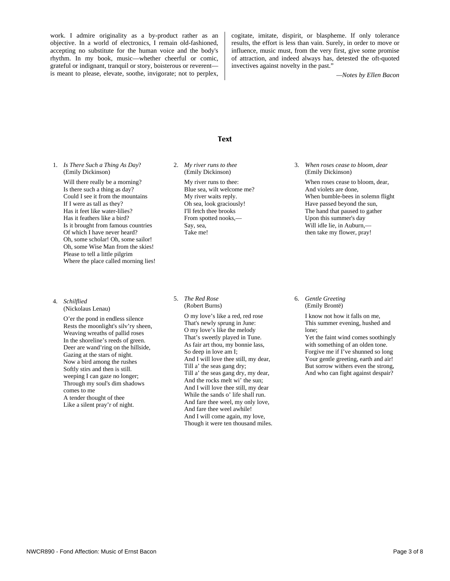work. I admire originality as a by-product rather as an objective. In a world of electronics, I remain old-fashioned, accepting no substitute for the human voice and the body's rhythm. In my book, music—whether cheerful or comic, grateful or indignant, tranquil or story, boisterous or reverent is meant to please, elevate, soothe, invigorate; not to perplex,

cogitate, imitate, dispirit, or blaspheme. If only tolerance results, the effort is less than vain. Surely, in order to move or influence, music must, from the very first, give some promise of attraction, and indeed always has, detested the oft-quoted invectives against novelty in the past."

*—Notes by Ellen Bacon* 

#### Text

1. *Is There Such a Thing As Day*? (Emily Dickinson)

> Will there really be a morning? Is there such a thing as day? Could I see it from the mountains If I were as tall as they? Has it feet like water-lilies? Has it feathers like a bird? Is it brought from famous countries Of which I have never heard? Oh, some scholar! Oh, some sailor! Oh, some Wise Man from the skies! Please to tell a little pilgrim Where the place called morning lies!

- 4. *Schilflied* 
	- (Nickolaus Lenau)

O'er the pond in endless silence Rests the moonlight's silv'ry sheen, Weaving wreaths of pallid roses In the shoreline's reeds of green. Deer are wand'ring on the hillside, Gazing at the stars of night. Now a bird among the rushes Softly stirs and then is still. weeping I can gaze no longer; Through my soul's dim shadows comes to me A tender thought of thee Like a silent pray'r of night.

2. *My river runs to thee*  (Emily Dickinson)

> My river runs to thee: Blue sea, wilt welcome me? My river waits reply. Oh sea, look graciously! I'll fetch thee brooks From spotted nooks,— Say, sea, Take me!

5.*The Red Rose* (Robert Burns)

> O my love's like a red, red rose That's newly sprung in June: O my love's like the melody That's sweetly played in Tune. As fair art thou, my bonnie lass, So deep in love am I; And I will love thee still, my dear, Till a' the seas gang dry; Till a' the seas gang dry, my dear, And the rocks melt wi' the sun; And I will love thee still, my dear While the sands o' life shall run. And fare thee weel, my only love, And fare thee weel awhile! And I will come again, my love, Though it were ten thousand miles.

3.*When roses cease to bloom, dear*  (Emily Dickinson)

When roses cease to bloom, dear, And violets are done, When bumble-bees in solemn flight Have passed beyond the sun, The hand that paused to gather Upon this summer's day Will idle lie, in Auburn,then take my flower, pray!

6. *Gentle Greeting* (Emily Brontë)

> I know not how it falls on me, This summer evening, hushed and lone; Yet the faint wind comes soothingly

> with something of an olden tone. Forgive me if I've shunned so long Your gentle greeting, earth and air! But sorrow withers even the strong, And who can fight against despair?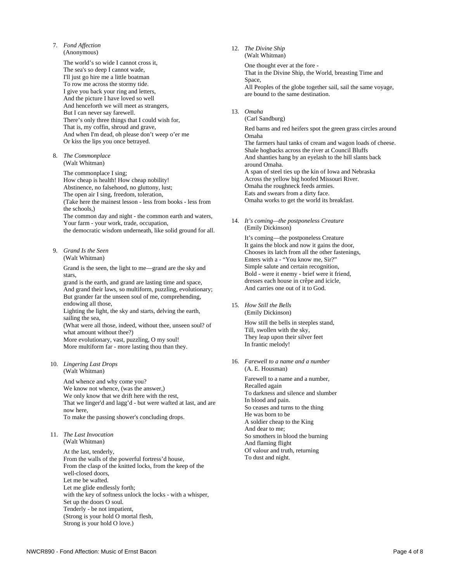- 7. *Fond Affection*
	- (Anonymous)

The world's so wide I cannot cross it, The sea's so deep I cannot wade, I'll just go hire me a little boatman To row me across the stormy tide. I give you back your ring and letters, And the picture I have loved so well And henceforth we will meet as strangers, But I can never say farewell. There's only three things that I could wish for, That is, my coffin, shroud and grave, And when I'm dead, oh please don't weep o'er me Or kiss the lips you once betrayed.

8.*The Commonplace*  (Walt Whitman)

> The commonplace I sing; How cheap is health! How cheap nobility! Abstinence, no falsehood, no gluttony, lust; The open air I sing, freedom, toleration, (Take here the mainest lesson - less from books - less from the schools,) The common day and night - the common earth and waters, Your farm - your work, trade, occupation, the democratic wisdom underneath, like solid ground for all.

9.*Grand Is the Seen* (Walt Whitman)

> Grand is the seen, the light to me—grand are the sky and stars,

grand is the earth, and grand are lasting time and space, And grand their laws, so multiform, puzzling, evolutionary; But grander far the unseen soul of me, comprehending, endowing all those,

Lighting the light, the sky and starts, delving the earth, sailing the sea.

(What were all those, indeed, without thee, unseen soul? of what amount without thee?)

More evolutionary, vast, puzzling, O my soul! More multiform far - more lasting thou than they.

10. *Lingering Last Drops*  (Walt Whitman)

> And whence and why come you? We know not whence, (was the answer,) We only know that we drift here with the rest, That we linger'd and lagg'd - but were wafted at last, and are now here, To make the passing shower's concluding drops.

11.*The Last Invocation* (Walt Whitman)

> At the last, tenderly, From the walls of the powerful fortress'd house, From the clasp of the knitted locks, from the keep of the well-closed doors, Let me be wafted. Let me glide endlessly forth; with the key of softness unlock the locks - with a whisper, Set up the doors O soul. Tenderly - be not impatient, (Strong is your hold O mortal flesh, Strong is your hold O love.)

12.*The Divine Ship*

(Walt Whitman)

One thought ever at the fore - That in the Divine Ship, the World, breasting Time and Space. All Peoples of the globe together sail, sail the same voyage, are bound to the same destination.

13. *Omaha*

(Carl Sandburg)

Red barns and red heifers spot the green grass circles around Omaha The farmers haul tanks of cream and wagon loads of cheese. Shale hogbacks across the river at Council Bluffs

And shanties hang by an eyelash to the hill slants back around Omaha. A span of steel ties up the kin of Iowa and Nebraska Across the yellow big hoofed Missouri River. Omaha the roughneck feeds armies.

Eats and swears from a dirty face.

Omaha works to get the world its breakfast.

14.*It's coming—the postponeless Creature* (Emily Dickinson)

> It's coming—the postponeless Creature It gains the block and now it gains the door, Chooses its latch from all the other fastenings, Enters with a - "You know me, Sir?" Simple salute and certain recognition, Bold - were it enemy - brief were it friend, dresses each house in crêpe and icicle, And carries one out of it to God.

15.*How Still the Bells* (Emily Dickinson)

> How still the bells in steeples stand, Till, swollen with the sky, They leap upon their silver feet In frantic melody!

16. *Farewell to a name and a number*  (A. E. Housman)

> Farewell to a name and a number, Recalled again To darkness and silence and slumber In blood and pain. So ceases and turns to the thing He was born to be A soldier cheap to the King And dear to me; So smothers in blood the burning And flaming flight Of valour and truth, returning To dust and night.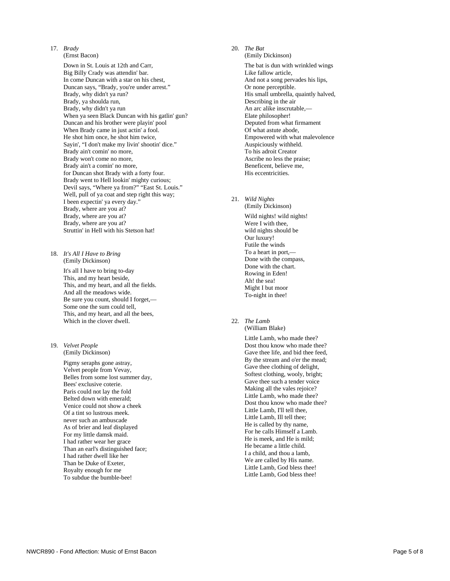17. *Brady*

(Ernst Bacon) Down in St. Louis at 12th and Carr, Big Billy Crady was attendin' bar. In come Duncan with a star on his chest, Duncan says, "Brady, you're under arrest." Brady, why didn't ya run? Brady, ya shoulda run, Brady, why didn't ya run When ya seen Black Duncan with his gatlin' gun? Duncan and his brother were playin' pool When Brady came in just actin' a fool. He shot him once, he shot him twice, Sayin', "I don't make my livin' shootin' dice." Brady ain't comin' no more, Brady won't come no more, Brady ain't a comin' no more, for Duncan shot Brady with a forty four. Brady went to Hell lookin' mighty curious; Devil says, "Where ya from?" "East St. Louis." Well, pull of ya coat and step right this way; I been expectin' ya every day." Brady, where are you at? Brady, where are you at? Brady, where are you at? Struttin' in Hell with his Stetson hat!

18.*It's All I Have to Bring* (Emily Dickinson)

> It's all I have to bring to-day This, and my heart beside, This, and my heart, and all the fields. And all the meadows wide. Be sure you count, should I forget,— Some one the sum could tell, This, and my heart, and all the bees, Which in the clover dwell.

19. *Velvet People* (Emily Dickinson)

> Pigmy seraphs gone astray, Velvet people from Vevay, Belles from some lost summer day, Bees' exclusive coterie. Paris could not lay the fold Belted down with emerald; Venice could not show a cheek Of a tint so lustrous meek. never such an ambuscade As of brier and leaf displayed For my little damsk maid. I had rather wear her grace Than an earl's distinguished face; I had rather dwell like her Than be Duke of Exeter, Royalty enough for me To subdue the bumble-bee!

20.*The Bat* 

(Emily Dickinson) The bat is dun with wrinkled wings Like fallow article, And not a song pervades his lips, Or none perceptible. His small umbrella, quaintly halved, Describing in the air An arc alike inscrutable,— Elate philosopher! Deputed from what firmament Of what astute abode, Empowered with what malevolence Auspiciously withheld. To his adroit Creator Ascribe no less the praise; Beneficent, believe me, His eccentricities.

- 21. *Wild Nights*  (Emily Dickinson) Wild nights! wild nights! Were I with thee. wild nights should be Our luxury! Futile the winds To a heart in port,— Done with the compass, Done with the chart. Rowing in Eden! Ah! the sea! Might I but moor To-night in thee!
- 22. *The Lamb* (William Blake)

Little Lamb, who made thee? Dost thou know who made thee? Gave thee life, and bid thee feed, By the stream and o'er the mead; Gave thee clothing of delight, Softest clothing, wooly, bright; Gave thee such a tender voice Making all the vales rejoice? Little Lamb, who made thee? Dost thou know who made thee? Little Lamb, I'll tell thee, Little Lamb, Ill tell thee; He is called by thy name, For he calls Himself a Lamb. He is meek, and He is mild; He became a little child. I a child, and thou a lamb, We are called by His name. Little Lamb, God bless thee! Little Lamb, God bless thee!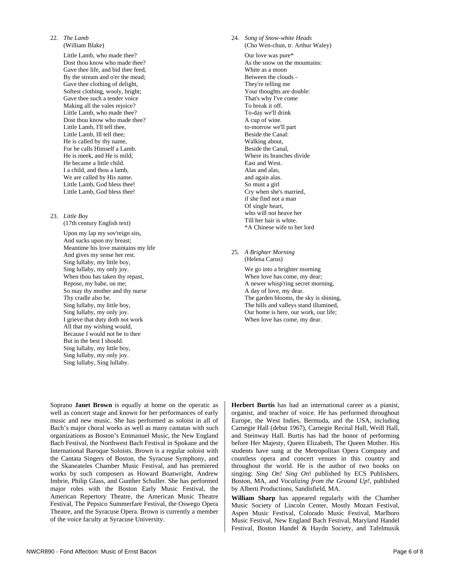## 22. *The Lamb*

(William Blake)

Little Lamb, who made thee? Dost thou know who made thee? Gave thee life, and bid thee feed, By the stream and o'er the mead; Gave thee clothing of delight, Softest clothing, wooly, bright; Gave thee such a tender voice Making all the vales rejoice? Little Lamb, who made thee? Dost thou know who made thee? Little Lamb, I'll tell thee, Little Lamb, Ill tell thee; He is called by thy name, For he calls Himself a Lamb. He is meek, and He is mild; He became a little child. I a child, and thou a lamb, We are called by His name. Little Lamb, God bless thee! Little Lamb, God bless thee!

### 23.*Little Boy*

(17th century English text)

Upon my lap my sov'reign sits, And sucks upon my breast; Meantime his love maintains my life And gives my sense her rest. Sing lullaby, my little boy, Sing lullaby, my only joy. When thou has taken thy repast, Repose, my babe, on me; So may thy mother and thy nurse Thy cradle also be. Sing lullaby, my little boy, Sing lullaby, my only joy. I grieve that duty doth not work All that my wishing would, Because I would not be to thee But in the best I should. Sing lullaby, my little boy, Sing lullaby, my only joy. Sing lullaby, Sing lullaby.

24. *Song of Snow-white Heads*  (Cho Wen-chun, tr. Arthur Waley)

> Our love was pure\* As the snow on the mountains: White as a moon Between the clouds - They're telling me Your thoughts are double: That's why I've come To break it off. To-day we'll drink A cup of wine. to-morrow we'll part Beside the Canal: Walking about, Beside the Canal, Where its branches divide East and West. Alas and alas, and again alas. So must a girl Cry when she's married, if she find not a man Of single heart, who will not heave her Till her hair is white. \*A Chinese wife to her lord

25. *A Brighter Morning* (Helena Carus)

> We go into a brighter morning When love has come, my dear; A newer whisp'ring secret morning, A day of love, my dear. The garden blooms, the sky is shining, The hills and valleys stand illumined, Our home is here, our work, our life; When love has come, my dear.

Soprano **Janet Brown** is equally at home on the operatic as well as concert stage and known for her performances of early music and new music. She has performed as soloist in all of Bach's major choral works as well as many cantatas with such organizations as Boston's Emmanuel Music, the New England Bach Festival, the Northwest Bach Festival in Spokane and the International Baroque Soloists. Brown is a regular soloist with the Cantata Singers of Boston, the Syracuse Symphony, and the Skaneateles Chamber Music Festival, and has premiered works by such composers as Howard Boatwright, Andrew Imbrie, Philip Glass, and Gunther Schuller. She has performed major roles with the Boston Early Music Festival, the American Repertory Theatre, the American Music Theatre Festival, The Pepsico Summerfare Festival, the Oswego Opera Theatre, and the Syracuse Opera. Brown is currently a member of the voice faculty at Syracuse University.

**Herbert Burtis** has had an international career as a pianist, organist, and teacher of voice. He has performed throughout Europe, the West Indies, Bermuda, and the USA, including Carnegie Hall (debut 1967), Carnegie Recital Hall, Weill Hall, and Steinway Hall. Burtis has had the honor of performing before Her Majesty, Queen Elizabeth, The Queen Mother. His students have sung at the Metropolitan Opera Company and countless opera and concert venues in this country and throughout the world. He is the author of two books on singing: *Sing On! Sing On*! published by ECS Publishers, Boston, MA, and *Vocalizing from the Ground Up!*, published by Alberti Productions, Sandisfield, MA.

**William Sharp** has appeared regularly with the Chamber Music Society of Lincoln Center, Mostly Mozart Festival, Aspen Music Festival, Colorado Music Festival, Marlboro Music Festival, New England Bach Festival, Maryland Handel Festival, Boston Handel & Haydn Society, and Tafelmusik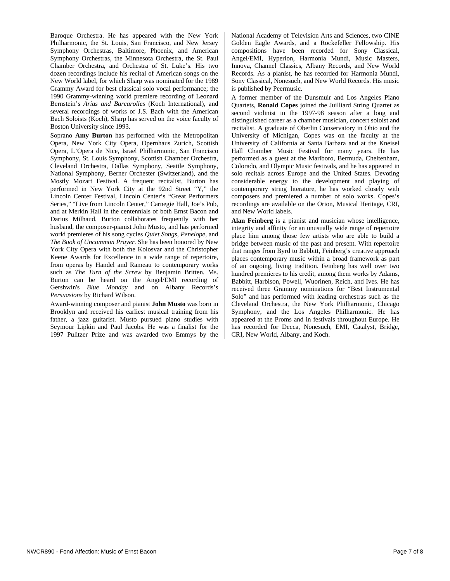Baroque Orchestra. He has appeared with the New York Philharmonic, the St. Louis, San Francisco, and New Jersey Symphony Orchestras, Baltimore, Phoenix, and American Symphony Orchestras, the Minnesota Orchestra, the St. Paul Chamber Orchestra, and Orchestra of St. Luke's. His two dozen recordings include his recital of American songs on the New World label, for which Sharp was nominated for the 1989 Grammy Award for best classical solo vocal performance; the 1990 Grammy-winning world premiere recording of Leonard Bernstein's *Arias and Barcarolles* (Koch International), and several recordings of works of J.S. Bach with the American Bach Soloists (Koch), Sharp has served on the voice faculty of Boston University since 1993.

Soprano **Amy Burton** has performed with the Metropolitan Opera, New York City Opera, Opernhaus Zurich, Scottish Opera, L'Opera de Nice, Israel Philharmonic, San Francisco Symphony, St. Louis Symphony, Scottish Chamber Orchestra, Cleveland Orchestra, Dallas Symphony, Seattle Symphony, National Symphony, Berner Orchester (Switzerland), and the Mostly Mozart Festival. A frequent recitalist, Burton has performed in New York City at the 92nd Street "Y," the Lincoln Center Festival, Lincoln Center's "Great Performers Series," "Live from Lincoln Center," Carnegie Hall, Joe's Pub, and at Merkin Hall in the centennials of both Ernst Bacon and Darius Milhaud. Burton collaborates frequently with her husband, the composer-pianist John Musto, and has performed world premieres of his song cycles *Quiet Songs, Penelope,* and *The Book of Uncommon Prayer*. She has been honored by New York City Opera with both the Kolosvar and the Christopher Keene Awards for Excellence in a wide range of repertoire, from operas by Handel and Rameau to contemporary works such as *The Turn of the Screw* by Benjamin Britten. Ms. Burton can be heard on the Angel/EMI recording of Gershwin's *Blue Monday* and on Albany Records's *Persuasions* by Richard Wilson.

Award-winning composer and pianist **John Musto** was born in Brooklyn and received his earliest musical training from his father, a jazz guitarist. Musto pursued piano studies with Seymour Lipkin and Paul Jacobs. He was a finalist for the 1997 Pulitzer Prize and was awarded two Emmys by the National Academy of Television Arts and Sciences, two CINE Golden Eagle Awards, and a Rockefeller Fellowship. His compositions have been recorded for Sony Classical, Angel/EMI, Hyperion, Harmonia Mundi, Music Masters, Innova, Channel Classics, Albany Records, and New World Records. As a pianist, he has recorded for Harmonia Mundi, Sony Classical, Nonesuch, and New World Records. His music is published by Peermusic.

A former member of the Dunsmuir and Los Angeles Piano Quartets, **Ronald Copes** joined the Juilliard String Quartet as second violinist in the 1997-98 season after a long and distinguished career as a chamber musician, concert soloist and recitalist. A graduate of Oberlin Conservatory in Ohio and the University of Michigan, Copes was on the faculty at the University of California at Santa Barbara and at the Kneisel Hall Chamber Music Festival for many years. He has performed as a guest at the Marlboro, Bermuda, Cheltenham, Colorado, and Olympic Music festivals, and he has appeared in solo recitals across Europe and the United States. Devoting considerable energy to the development and playing of contemporary string literature, he has worked closely with composers and premiered a number of solo works. Copes's recordings are available on the Orion, Musical Heritage, CRI, and New World labels.

**Alan Feinberg** is a pianist and musician whose intelligence, integrity and affinity for an unusually wide range of repertoire place him among those few artists who are able to build a bridge between music of the past and present. With repertoire that ranges from Byrd to Babbitt, Feinberg's creative approach places contemporary music within a broad framework as part of an ongoing, living tradition. Feinberg has well over two hundred premieres to his credit, among them works by Adams, Babbitt, Harbison, Powell, Wuorinen, Reich, and Ives. He has received three Grammy nominations for "Best Instrumental Solo" and has performed with leading orchestras such as the Cleveland Orchestra, the New York Philharmonic, Chicago Symphony, and the Los Angeles Philharmonic. He has appeared at the Proms and in festivals throughout Europe. He has recorded for Decca, Nonesuch, EMI, Catalyst, Bridge, CRI, New World, Albany, and Koch.